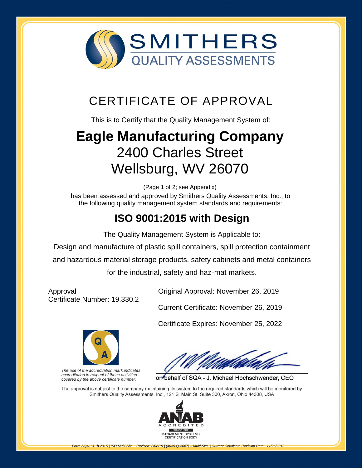

## CERTIFICATE OF APPROVAL

This is to Certify that the Quality Management System of:

# **[Eagle Manufacturing Company](http://www.smithersregistrar.com/)** 2400 Charles Street Wellsburg, WV 26070

(Page 1 of 2; see Appendix)

has been assessed and approved by Smithers Quality Assessments, Inc., to the following quality management system standards and requirements:

### **ISO 9001:2015 with Design**

The Quality Management System is Applicable to:

Design and manufacture of plastic spill containers, spill protection containment and hazardous material storage products, safety cabinets and metal containers

for the industrial, safety and haz-mat markets.

Approval Certificate Number: 19.330.2

Original Approval: November 26, 2019

Current Certificate: November 26, 2019

Certificate Expires: November 25, 2022



The use of the accreditation mark indicates accreditation in respect of those activities covered by the above certificate number.

on behalf of SQA - J. Michael Hochschwender, CEO

The approval is subject to the company maintaining its system to the required standards which will be monitored by Smithers Quality Assessments, Inc., 121 S. Main St. Suite 300, Akron, Ohio 44308, USA



*Form SQA-13.1b.2015 | ISO Multi-Site | Revised: 2/08/19 | (4035-Q-3067) – Multi-Site | Current Certificate Revision Date: 11/26/2019*